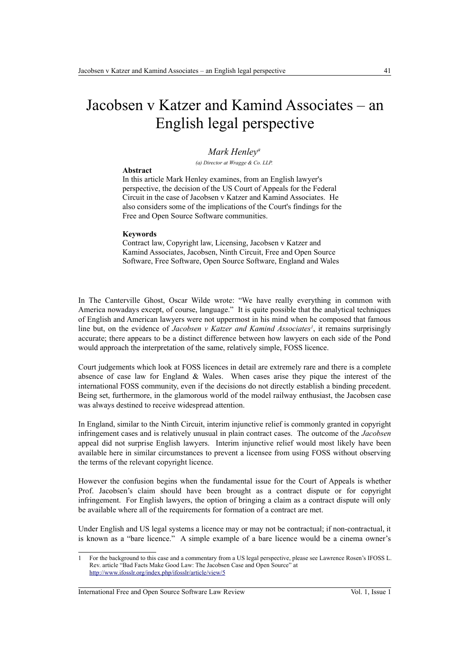# Jacobsen v Katzer and Kamind Associates – an English legal perspective

### *Mark Henley<sup>a</sup>*

*(a) Director at Wragge & Co. LLP.*

#### **Abstract**

In this article Mark Henley examines, from an English lawyer's perspective, the decision of the US Court of Appeals for the Federal Circuit in the case of Jacobsen v Katzer and Kamind Associates. He also considers some of the implications of the Court's findings for the Free and Open Source Software communities.

#### **Keywords**

Contract law, Copyright law, Licensing, Jacobsen v Katzer and Kamind Associates, Jacobsen, Ninth Circuit, Free and Open Source Software, Free Software, Open Source Software, England and Wales

In The Canterville Ghost, Oscar Wilde wrote: "We have really everything in common with America nowadays except, of course, language." It is quite possible that the analytical techniques of English and American lawyers were not uppermost in his mind when he composed that famous line but, on the evidence of *Jacobsen v Katzer and Kamind Associates<sup>[1](#page-0-0)</sup>*, it remains surprisingly accurate; there appears to be a distinct difference between how lawyers on each side of the Pond would approach the interpretation of the same, relatively simple, FOSS licence.

Court judgements which look at FOSS licences in detail are extremely rare and there is a complete absence of case law for England  $&$  Wales. When cases arise they pique the interest of the international FOSS community, even if the decisions do not directly establish a binding precedent. Being set, furthermore, in the glamorous world of the model railway enthusiast, the Jacobsen case was always destined to receive widespread attention.

In England, similar to the Ninth Circuit, interim injunctive relief is commonly granted in copyright infringement cases and is relatively unusual in plain contract cases. The outcome of the *Jacobsen* appeal did not surprise English lawyers. Interim injunctive relief would most likely have been available here in similar circumstances to prevent a licensee from using FOSS without observing the terms of the relevant copyright licence.

However the confusion begins when the fundamental issue for the Court of Appeals is whether Prof. Jacobsen's claim should have been brought as a contract dispute or for copyright infringement. For English lawyers, the option of bringing a claim as a contract dispute will only be available where all of the requirements for formation of a contract are met.

Under English and US legal systems a licence may or may not be contractual; if non-contractual, it is known as a "bare licence." A simple example of a bare licence would be a cinema owner's

International Free and Open Source Software Law Review Vol. 1, Issue 1

<span id="page-0-0"></span><sup>1</sup> For the background to this case and a commentary from a US legal perspective, please see Lawrence Rosen's IFOSS L. Rev. article "Bad Facts Make Good Law: The Jacobsen Case and Open Source" at <http://www.ifosslr.org/index.php/ifosslr/article/view/5>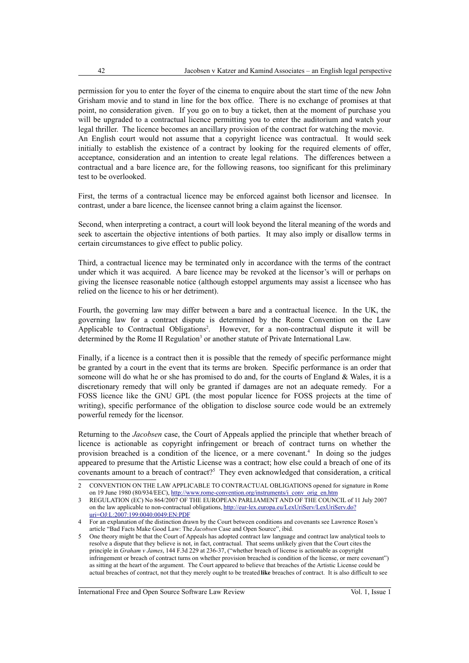permission for you to enter the foyer of the cinema to enquire about the start time of the new John Grisham movie and to stand in line for the box office. There is no exchange of promises at that point, no consideration given. If you go on to buy a ticket, then at the moment of purchase you will be upgraded to a contractual licence permitting you to enter the auditorium and watch your legal thriller. The licence becomes an ancillary provision of the contract for watching the movie. An English court would not assume that a copyright licence was contractual. It would seek initially to establish the existence of a contract by looking for the required elements of offer, acceptance, consideration and an intention to create legal relations. The differences between a contractual and a bare licence are, for the following reasons, too significant for this preliminary test to be overlooked.

First, the terms of a contractual licence may be enforced against both licensor and licensee. In contrast, under a bare licence, the licensee cannot bring a claim against the licensor.

Second, when interpreting a contract, a court will look beyond the literal meaning of the words and seek to ascertain the objective intentions of both parties. It may also imply or disallow terms in certain circumstances to give effect to public policy.

Third, a contractual licence may be terminated only in accordance with the terms of the contract under which it was acquired. A bare licence may be revoked at the licensor's will or perhaps on giving the licensee reasonable notice (although estoppel arguments may assist a licensee who has relied on the licence to his or her detriment).

Fourth, the governing law may differ between a bare and a contractual licence. In the UK, the governing law for a contract dispute is determined by the Rome Convention on the Law Applicable to Contractual Obligations<sup>[2](#page-1-0)</sup>. However, for a non-contractual dispute it will be determined by the Rome II Regulation<sup>[3](#page-1-1)</sup> or another statute of Private International Law.

Finally, if a licence is a contract then it is possible that the remedy of specific performance might be granted by a court in the event that its terms are broken. Specific performance is an order that someone will do what he or she has promised to do and, for the courts of England & Wales, it is a discretionary remedy that will only be granted if damages are not an adequate remedy. For a FOSS licence like the GNU GPL (the most popular licence for FOSS projects at the time of writing), specific performance of the obligation to disclose source code would be an extremely powerful remedy for the licensor.

Returning to the *Jacobsen* case, the Court of Appeals applied the principle that whether breach of licence is actionable as copyright infringement or breach of contract turns on whether the provision breached is a condition of the licence, or a mere covenant.<sup>[4](#page-1-2)</sup> In doing so the judges appeared to presume that the Artistic License was a contract; how else could a breach of one of its covenants amount to a breach of contract?<sup>[5](#page-1-3)</sup> They even acknowledged that consideration, a critical

International Free and Open Source Software Law Review Vol. 1, Issue 1

<span id="page-1-0"></span><sup>2</sup> CONVENTION ON THE LAW APPLICABLE TO CONTRACTUAL OBLIGATIONS opened for signature in Rome on 19 June 1980 (80/934/EEC), [http://www.rome-convention.org/instruments/i\\_conv\\_orig\\_en.htm](http://www.rome-convention.org/instruments/i_conv_orig_en.htm)

<span id="page-1-1"></span><sup>3</sup> REGULATION (EC) No 864/2007 OF THE EUROPEAN PARLIAMENT AND OF THE COUNCIL of 11 July 2007 on the law applicable to non-contractual obligations, [http://eur-lex.europa.eu/LexUriServ/LexUriServ.do?](http://eur-lex.europa.eu/LexUriServ/LexUriServ.do?uri=OJ:L:2007:199:0040:0049:EN:PDF) [uri=OJ:L:2007:199:0040:0049:EN:PDF](http://eur-lex.europa.eu/LexUriServ/LexUriServ.do?uri=OJ:L:2007:199:0040:0049:EN:PDF)

<span id="page-1-2"></span><sup>4</sup> For an explanation of the distinction drawn by the Court between conditions and covenants see Lawrence Rosen's article "Bad Facts Make Good Law: The *Jacobsen* Case and Open Source", ibid.

<span id="page-1-3"></span><sup>5</sup> One theory might be that the Court of Appeals has adopted contract law language and contract law analytical tools to resolve a dispute that they believe is not, in fact, contractual. That seems unlikely given that the Court cites the principle in *Graham v James*, 144 F.3d 229 at 236-37, ("whether breach of license is actionable as copyright infringement or breach of contract turns on whether provision breached is condition of the license, or mere covenant") as sitting at the heart of the argument. The Court appeared to believe that breaches of the Artistic License could be actual breaches of contract, not that they merely ought to be treated **like** breaches of contract. It is also difficult to see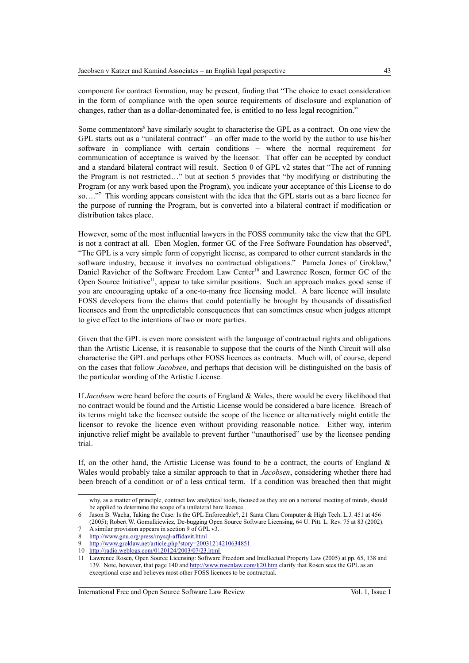Some commentators<sup>[6](#page-2-0)</sup> have similarly sought to characterise the GPL as a contract. On one view the GPL starts out as a "unilateral contract" – an offer made to the world by the author to use his/her software in compliance with certain conditions – where the normal requirement for communication of acceptance is waived by the licensor. That offer can be accepted by conduct and a standard bilateral contract will result. Section 0 of GPL v2 states that "The act of running the Program is not restricted…" but at section 5 provides that "by modifying or distributing the Program (or any work based upon the Program), you indicate your acceptance of this License to do so…."[7](#page-2-1) This wording appears consistent with the idea that the GPL starts out as a bare licence for the purpose of running the Program, but is converted into a bilateral contract if modification or distribution takes place.

However, some of the most influential lawyers in the FOSS community take the view that the GPL is not a contract at all. Eben Moglen, former GC of the Free Software Foundation has observed<sup>[8](#page-2-2)</sup>, "The GPL is a very simple form of copyright license, as compared to other current standards in the software industry, because it involves no contractual obligations." Pamela Jones of Groklaw,<sup>[9](#page-2-3)</sup> Daniel Ravicher of the Software Freedom Law Center<sup>[10](#page-2-4)</sup> and Lawrence Rosen, former GC of the Open Source Initiative<sup>[11](#page-2-5)</sup>, appear to take similar positions. Such an approach makes good sense if you are encouraging uptake of a one-to-many free licensing model. A bare licence will insulate FOSS developers from the claims that could potentially be brought by thousands of dissatisfied licensees and from the unpredictable consequences that can sometimes ensue when judges attempt to give effect to the intentions of two or more parties.

Given that the GPL is even more consistent with the language of contractual rights and obligations than the Artistic License, it is reasonable to suppose that the courts of the Ninth Circuit will also characterise the GPL and perhaps other FOSS licences as contracts. Much will, of course, depend on the cases that follow *Jacobsen*, and perhaps that decision will be distinguished on the basis of the particular wording of the Artistic License.

If *Jacobsen* were heard before the courts of England & Wales, there would be every likelihood that no contract would be found and the Artistic License would be considered a bare licence. Breach of its terms might take the licensee outside the scope of the licence or alternatively might entitle the licensor to revoke the licence even without providing reasonable notice. Either way, interim injunctive relief might be available to prevent further "unauthorised" use by the licensee pending trial.

If, on the other hand, the Artistic License was found to be a contract, the courts of England  $\&$ Wales would probably take a similar approach to that in *Jacobsen*, considering whether there had been breach of a condition or of a less critical term. If a condition was breached then that might

International Free and Open Source Software Law Review Vol. 1, Issue 1

why, as a matter of principle, contract law analytical tools, focused as they are on a notional meeting of minds, should be applied to determine the scope of a unilateral bare licence.

<span id="page-2-0"></span><sup>6</sup> Jason B. Wacha, Taking the Case: Is the GPL Enforceable?, 21 Santa Clara Computer & High Tech. L.J. 451 at 456 (2005); Robert W. Gomulkiewicz, De-bugging Open Source Software Licensing, 64 U. Pitt. L. Rev. 75 at 83 (2002).

<span id="page-2-1"></span>A similar provision appears in section 9 of GPL v3.

<span id="page-2-2"></span><sup>8</sup><http://www.gnu.org/press/mysql-affidavit.html>

<span id="page-2-3"></span><http://www.groklaw.net/article.php?story=20031214210634851>

<span id="page-2-4"></span><sup>10</sup> <http://radio.weblogs.com/0120124/2003/07/23.html>

<span id="page-2-5"></span><sup>11</sup> Lawrence Rosen, Open Source Licensing: Software Freedom and Intellectual Property Law (2005) at pp. 65, 138 and 139. Note, however, that page 140 and<http://www.rosenlaw.com/lj20.htm>clarify that Rosen sees the GPL as an exceptional case and believes most other FOSS licences to be contractual.